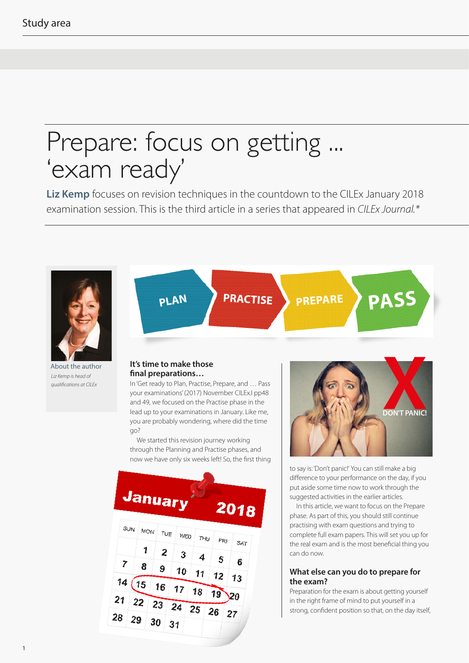# Prepare: focus on getting ... 'exam ready'

**Liz Kemp** focuses on revision techniques in the countdown to the CILEx January 2018 examination session. This is the third article in a series that appeared in *CILEx Journal.\**

**PRACTISE**



About the author *Liz Kemp is head of qualifications at CILEx*

### **It's time to make those final preparations…**

**PLAN**

In 'Get ready to Plan, Practise, Prepare, and … Pass your examinations' (2017) November CILExJ pp48 and 49, we focused on the Practise phase in the lead up to your examinations in January. Like me, you are probably wondering, where did the time go?

We started this revision journey working through the Planning and Practise phases, and now we have only six weeks left! So, the first thing





**PREPARE PASS**

to say is: 'Don't panic!' You can still make a big difference to your performance on the day, if you put aside some time now to work through the suggested activities in the earlier articles.

In this article, we want to focus on the Prepare phase. As part of this, you should still continue practising with exam questions and trying to complete full exam papers. This will set you up for the real exam and is the most beneficial thing you can do now.

#### **What else can you do to prepare for the exam?**

Preparation for the exam is about getting yourself in the right frame of mind to put yourself in a strong, confident position so that, on the day itself,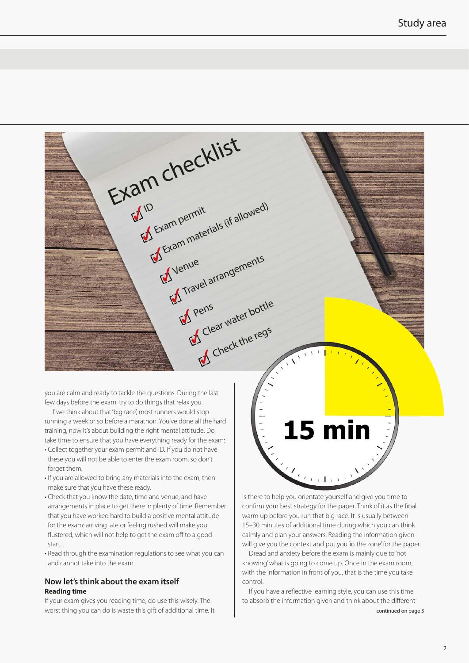

few days before the exam, try to do things that relax you. If we think about that 'big race', most runners would stop

running a week or so before a marathon. You've done all the hard training, now it's about building the right mental attitude. Do take time to ensure that you have everything ready for the exam:

- Collect together your exam permit and ID. If you do not have these you will not be able to enter the exam room, so don't forget them.
- If you are allowed to bring any materials into the exam, then make sure that you have these ready.
- Check that you know the date, time and venue, and have arrangements in place to get there in plenty of time. Remember that you have worked hard to build a positive mental attitude for the exam: arriving late or feeling rushed will make you flustered, which will not help to get the exam off to a good start.
- Read through the examination regulations to see what you can and cannot take into the exam.

#### **Now let's think about the exam itself Reading time**

If your exam gives you reading time, do use this wisely. The worst thing you can do is waste this gift of additional time. It

is there to help you orientate yourself and give you time to confirm your best strategy for the paper. Think of it as the final warm up before you run that big race. It is usually between 15–30 minutes of additional time during which you can think calmly and plan your answers. Reading the information given will give you the context and put you 'in the zone' for the paper.

15 min

Dread and anxiety before the exam is mainly due to 'not knowing' what is going to come up. Once in the exam room, with the information in front of you, that is the time you take control.

If you have a reflective learning style, you can use this time to absorb the information given and think about the different continued on page 3